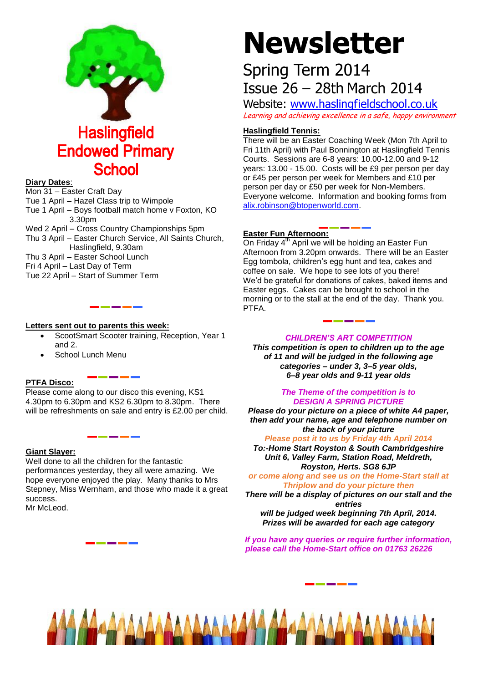

#### **Diary Dates**:

Mon 31 – Easter Craft Day

Tue 1 April – Hazel Class trip to Wimpole

Tue 1 April – Boys football match home v Foxton, KO 3.30pm

Wed 2 April – Cross Country Championships 5pm Thu 3 April – Easter Church Service, All Saints Church, Haslingfield, 9.30am Thu 3 April – Easter School Lunch Fri 4 April – Last Day of Term Tue 22 April – Start of Summer Term

\_\_\_\_\_\_

### **Letters sent out to parents this week:**

- ScootSmart Scooter training, Reception, Year 1 and 2.
- School Lunch Menu

## **PTFA Disco:**

Please come along to our disco this evening, KS1 4.30pm to 6.30pm and KS2 6.30pm to 8.30pm. There will be refreshments on sale and entry is £2.00 per child.

\_\_\_\_

#### **Giant Slayer:**

Well done to all the children for the fantastic performances yesterday, they all were amazing. We hope everyone enjoyed the play. Many thanks to Mrs Stepney, Miss Wernham, and those who made it a great success. Mr McLeod.

# **Newsletter**

# Spring Term 2014 Issue 26 – 28th March 2014

Website: [www.haslingfieldschool.co.uk](http://www.haslingfieldschool.co.uk/) Learning and achieving excellence in a safe, happy environment

# **Haslingfield Tennis:**

There will be an Easter Coaching Week (Mon 7th April to Fri 11th April) with Paul Bonnington at Haslingfield Tennis Courts. Sessions are 6-8 years: 10.00-12.00 and 9-12 years: 13.00 - 15.00. Costs will be £9 per person per day or £45 per person per week for Members and £10 per person per day or £50 per week for Non-Members. Everyone welcome. Information and booking forms from [alix.robinson@btopenworld.com.](mailto:alix.robinson@btopenworld.com)

# **Easter Fun Afternoon:**

On Friday 4<sup>th</sup> April we will be holding an Easter Fun Afternoon from 3.20pm onwards. There will be an Easter Egg tombola, children's egg hunt and tea, cakes and coffee on sale. We hope to see lots of you there! We'd be grateful for donations of cakes, baked items and Easter eggs. Cakes can be brought to school in the morning or to the stall at the end of the day. Thank you. PTFA.

# *CHILDREN'S ART COMPETITION*

*This competition is open to children up to the age of 11 and will be judged in the following age categories – under 3, 3–5 year olds, 6–8 year olds and 9-11 year olds*

#### *The Theme of the competition is to DESIGN A SPRING PICTURE*

*Please do your picture on a piece of white A4 paper, then add your name, age and telephone number on the back of your picture*

*Please post it to us by Friday 4th April 2014 To:-Home Start Royston & South Cambridgeshire Unit 6, Valley Farm, Station Road, Meldreth, Royston, Herts. SG8 6JP*

*or come along and see us on the Home-Start stall at Thriplow and do your picture then*

*There will be a display of pictures on our stall and the entries will be judged week beginning 7th April, 2014. Prizes will be awarded for each age category*

*If you have any queries or require further information, please call the Home-Start office on 01763 26226*